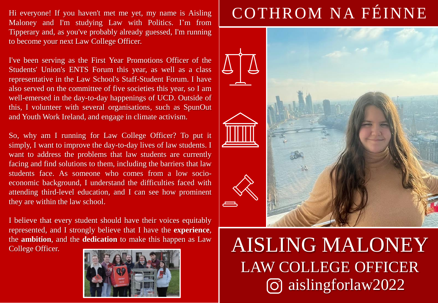Hi everyone! If you haven't met me yet, my name is Aisling Maloney and I'm studying Law with Politics. I'm from Tipperary and, as you've probably already guessed, I'm running to become your next Law College Officer.

I've been serving as the First Year Promotions Officer of the Students' Union's ENTS Forum this year, as well as a class representative in the Law School's Staff-Student Forum. I have also served on the committee of five societies this year, so I am well-emersed in the day-to-day happenings of UCD. Outside of this, I volunteer with several organisations, such as SpunOut and Youth Work Ireland, and engage in climate activism.

So, why am I running for Law College Officer? To put it simply, I want to improve the day-to-day lives of law students. I want to address the problems that law students are currently facing and find solutions to them, including the barriers that law students face. As someone who comes from a low socioeconomic background, I understand the difficulties faced with attending third-level education, and I can see how prominent they are within the law school.

I believe that every student should have their voices equitably represented, and I strongly believe that I have the **experience**, the **ambition**, and the **dedication** to make this happen as Law College Officer.



# COTHROM NA FÉINNE



## AISLING MALONEY LAW COLLEGE OFFICER aislingforlaw2022